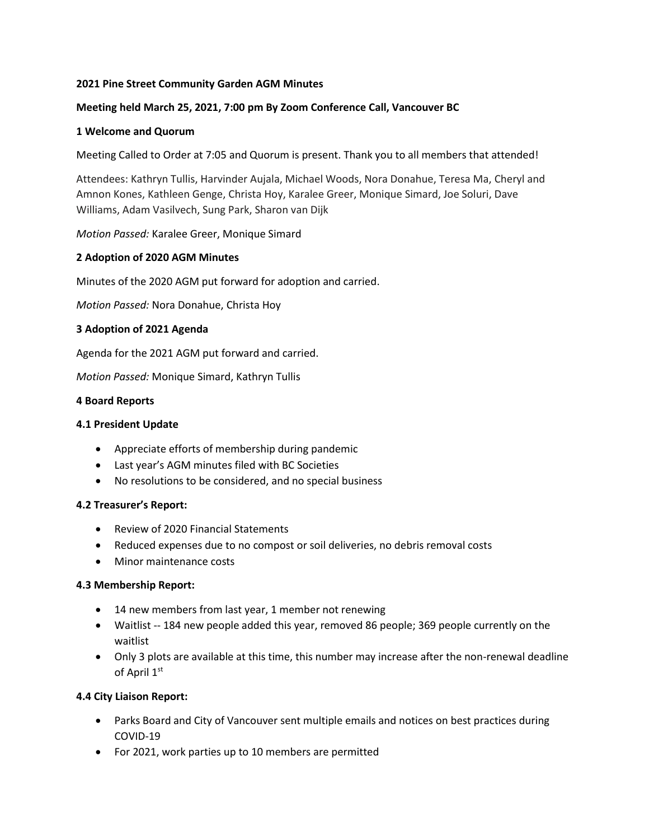## **2021 Pine Street Community Garden AGM Minutes**

# **Meeting held March 25, 2021, 7:00 pm By Zoom Conference Call, Vancouver BC**

#### **1 Welcome and Quorum**

Meeting Called to Order at 7:05 and Quorum is present. Thank you to all members that attended!

Attendees: Kathryn Tullis, Harvinder Aujala, Michael Woods, Nora Donahue, Teresa Ma, Cheryl and Amnon Kones, Kathleen Genge, Christa Hoy, Karalee Greer, Monique Simard, Joe Soluri, Dave Williams, Adam Vasilvech, Sung Park, Sharon van Dijk

*Motion Passed:* Karalee Greer, Monique Simard

#### **2 Adoption of 2020 AGM Minutes**

Minutes of the 2020 AGM put forward for adoption and carried.

*Motion Passed:* Nora Donahue, Christa Hoy

#### **3 Adoption of 2021 Agenda**

Agenda for the 2021 AGM put forward and carried.

*Motion Passed:* Monique Simard, Kathryn Tullis

#### **4 Board Reports**

#### **4.1 President Update**

- Appreciate efforts of membership during pandemic
- Last year's AGM minutes filed with BC Societies
- No resolutions to be considered, and no special business

## **4.2 Treasurer's Report:**

- Review of 2020 Financial Statements
- Reduced expenses due to no compost or soil deliveries, no debris removal costs
- Minor maintenance costs

#### **4.3 Membership Report:**

- 14 new members from last year, 1 member not renewing
- Waitlist -- 184 new people added this year, removed 86 people; 369 people currently on the waitlist
- Only 3 plots are available at this time, this number may increase after the non-renewal deadline of April 1st

## **4.4 City Liaison Report:**

- Parks Board and City of Vancouver sent multiple emails and notices on best practices during COVID-19
- For 2021, work parties up to 10 members are permitted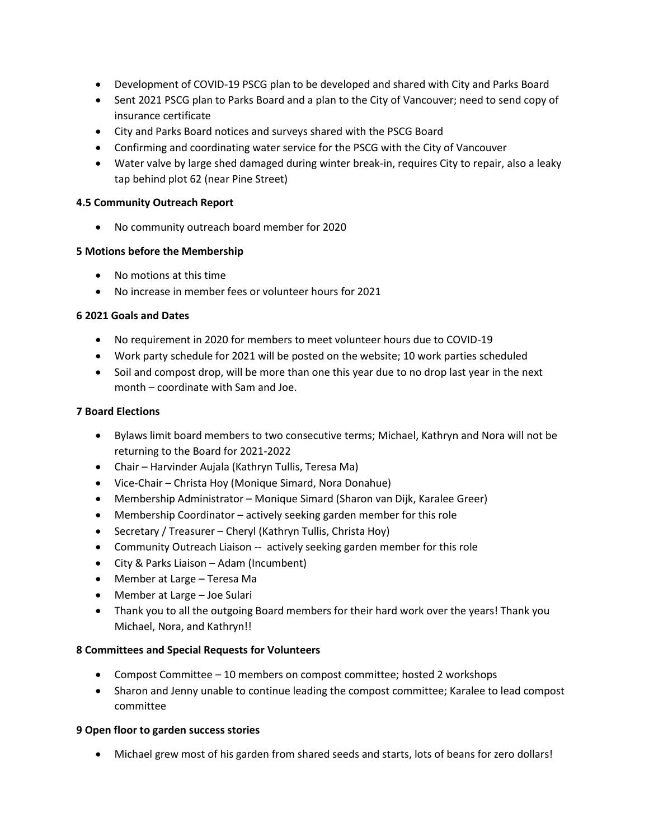- Development of COVID-19 PSCG plan to be developed and shared with City and Parks Board
- Sent 2021 PSCG plan to Parks Board and a plan to the City of Vancouver; need to send copy of insurance certificate
- City and Parks Board notices and surveys shared with the PSCG Board
- Confirming and coordinating water service for the PSCG with the City of Vancouver
- Water valve by large shed damaged during winter break-in, requires City to repair, also a leaky tap behind plot 62 (near Pine Street)

## **4.5 Community Outreach Report**

• No community outreach board member for 2020

# **5 Motions before the Membership**

- No motions at this time
- No increase in member fees or volunteer hours for 2021

## **6 2021 Goals and Dates**

- No requirement in 2020 for members to meet volunteer hours due to COVID-19
- Work party schedule for 2021 will be posted on the website; 10 work parties scheduled
- Soil and compost drop, will be more than one this year due to no drop last year in the next month – coordinate with Sam and Joe.

## **7 Board Elections**

- Bylaws limit board members to two consecutive terms; Michael, Kathryn and Nora will not be returning to the Board for 2021-2022
- Chair Harvinder Aujala (Kathryn Tullis, Teresa Ma)
- Vice-Chair Christa Hoy (Monique Simard, Nora Donahue)
- Membership Administrator Monique Simard (Sharon van Dijk, Karalee Greer)
- Membership Coordinator actively seeking garden member for this role
- Secretary / Treasurer Cheryl (Kathryn Tullis, Christa Hoy)
- Community Outreach Liaison -- actively seeking garden member for this role
- City & Parks Liaison Adam (Incumbent)
- Member at Large Teresa Ma
- Member at Large Joe Sulari
- Thank you to all the outgoing Board members for their hard work over the years! Thank you Michael, Nora, and Kathryn!!

## **8 Committees and Special Requests for Volunteers**

- Compost Committee 10 members on compost committee; hosted 2 workshops
- Sharon and Jenny unable to continue leading the compost committee; Karalee to lead compost committee

## **9 Open floor to garden success stories**

• Michael grew most of his garden from shared seeds and starts, lots of beans for zero dollars!